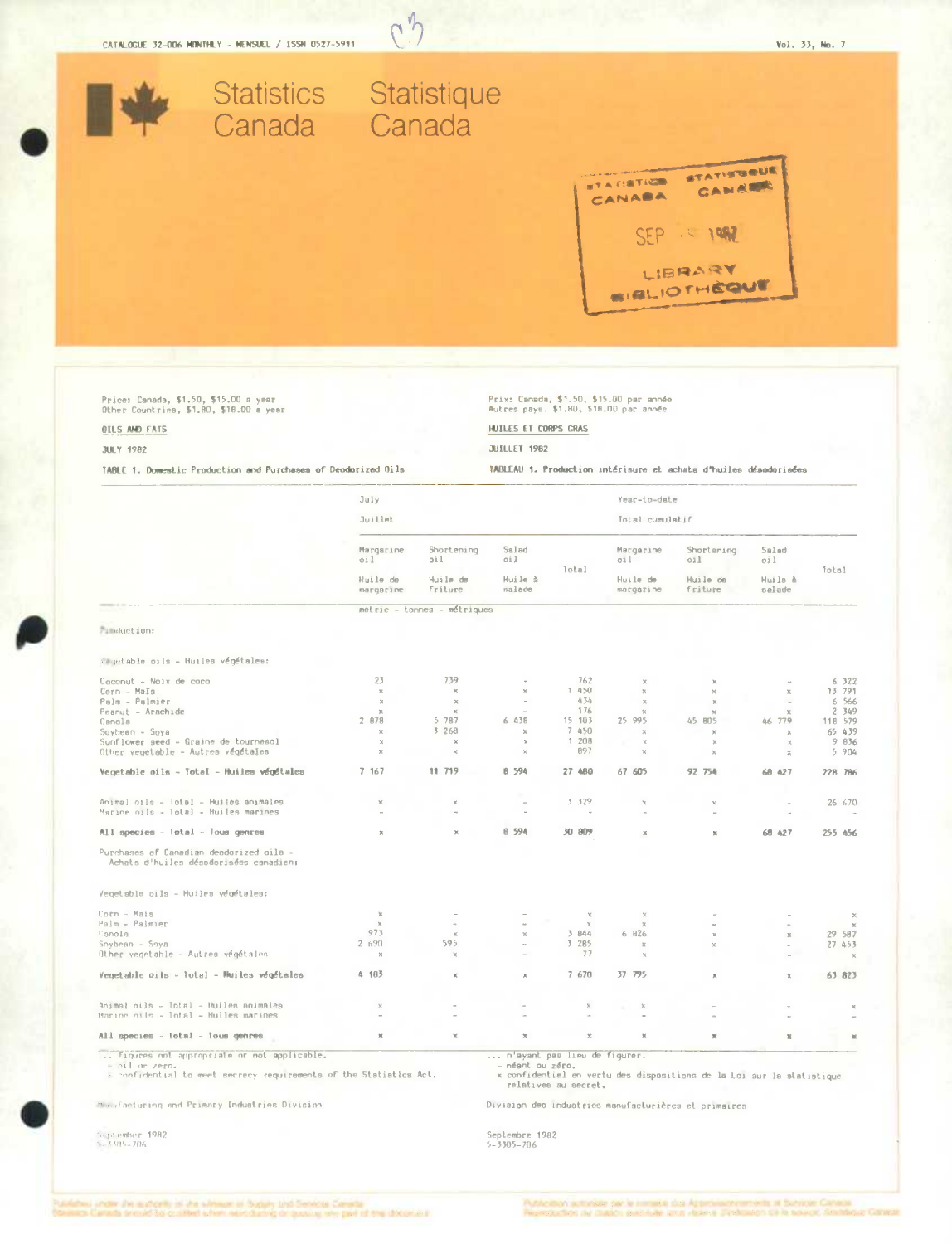| Statistics Statistique<br>Canada Canada                                                                                    |                          |                             |                              |                             | <b>TATISTICS</b><br>CANABA                                                        | <b>STATISTIQUE</b><br>CANRICK                                    |                        |                                                                                                                   |
|----------------------------------------------------------------------------------------------------------------------------|--------------------------|-----------------------------|------------------------------|-----------------------------|-----------------------------------------------------------------------------------|------------------------------------------------------------------|------------------------|-------------------------------------------------------------------------------------------------------------------|
|                                                                                                                            |                          |                             |                              |                             |                                                                                   | 12100<br>LIBRARY<br><b>BIRLIOTHÈQUE</b>                          |                        |                                                                                                                   |
| Price: Canada, \$1.50, \$15.00 a year<br>Other Countries, \$1.80, \$18.00 a year                                           |                          |                             |                              |                             | Prix: Canada, \$1.50, \$15.00 par année<br>Autres pays, \$1.80, \$18.00 par année |                                                                  |                        |                                                                                                                   |
| OILS AND FATS                                                                                                              |                          |                             | HUILES ET CORPS GRAS         |                             |                                                                                   |                                                                  |                        |                                                                                                                   |
| <b>JULY 1982</b>                                                                                                           |                          |                             | JUILLET 1982                 |                             |                                                                                   |                                                                  |                        |                                                                                                                   |
| TABLE 1, Domestic Production and Purchases of Deodorized Oils                                                              |                          |                             |                              |                             |                                                                                   | TABLEAU 1. Production intérisure et achats d'huiles désodorisées |                        |                                                                                                                   |
|                                                                                                                            | July                     |                             |                              |                             | Year-to-date                                                                      |                                                                  |                        |                                                                                                                   |
|                                                                                                                            | Juillet                  |                             |                              |                             | Total cumulatif                                                                   |                                                                  |                        |                                                                                                                   |
|                                                                                                                            |                          |                             |                              |                             |                                                                                   |                                                                  |                        |                                                                                                                   |
|                                                                                                                            | Margarine<br>oil         | Shortening<br>oil           | Salad<br>oil                 |                             | Margarine<br>011                                                                  | Shortaning<br>011                                                | Salad<br>oil           |                                                                                                                   |
|                                                                                                                            | Huile de<br>margarine    | Huile de<br>friture         | Huile à<br>salade            | Total                       | Huile de<br>margarine                                                             | Huile de<br>friture                                              | Huila à<br>salade      | Total                                                                                                             |
|                                                                                                                            |                          | metric - tonnes - métriques |                              |                             |                                                                                   |                                                                  |                        |                                                                                                                   |
| <b>Pimbuction:</b>                                                                                                         |                          |                             |                              |                             |                                                                                   |                                                                  |                        |                                                                                                                   |
|                                                                                                                            |                          |                             |                              |                             |                                                                                   |                                                                  |                        |                                                                                                                   |
| vegetable oils - Huiles végétales:                                                                                         |                          |                             |                              |                             |                                                                                   |                                                                  |                        |                                                                                                                   |
| Caconut - Noix de caca<br>Corn - Maïs                                                                                      | 23<br>$\mathbb X$        | 739<br>$\chi$               | $\mathbbm{K}$                | 762<br>1 450                | $\chi$<br>$\chi$                                                                  |                                                                  | $\chi$                 | 6 322<br>13 791                                                                                                   |
| Palm - Palmier<br>Peanut - Arachide                                                                                        | $\rm X$<br>$\mathcal{H}$ | $\,\pi$<br>$2$              | $\sim$                       | 434<br>176                  | $\chi$<br>$\propto$                                                               | $2$                                                              | $\infty$               | 6 566<br>2 349                                                                                                    |
| Canola                                                                                                                     | 2 878                    | 5 787                       | 6 438                        | 15 103                      | 25 995                                                                            | 45 805                                                           | 46 779                 | 118 579                                                                                                           |
| Soybean - Soya                                                                                                             | $\mathbb{X}$<br>$\chi$   | 3 268<br>$\mathbf{x}$       | $\mathbbm{R}$<br>$\mathbf x$ | 7 450<br>1 208              | $\times$<br>$\mathcal{R}$                                                         | $\mathbf x$<br>x                                                 | $\mathbb{X}$<br>$\chi$ | 65 439<br>9 836                                                                                                   |
| Sunflower seed - Graine de tournesol                                                                                       |                          |                             |                              | 897                         |                                                                                   |                                                                  |                        | 5 904                                                                                                             |
| Other vegetable - Autrea végétales                                                                                         |                          |                             |                              |                             |                                                                                   |                                                                  |                        |                                                                                                                   |
|                                                                                                                            | 7 167                    | 11 719                      | <b>B</b> 594                 | 27 480                      | 67 605                                                                            | 92 754                                                           | 68 427                 |                                                                                                                   |
|                                                                                                                            | $\mathbb{X}$             | $\mathbb{X}$                | $\sim$                       | 3 329                       | $\mathbf{x}$                                                                      | $\mathbf{x}$                                                     | $\sim$                 |                                                                                                                   |
| Vegetable oils - Total - Huiles végétales<br>Animal oils - Total - Huiles animales<br>Marine oils - Total - Muiles marines | $\overline{\phantom{a}}$ |                             | u,                           |                             |                                                                                   | i.                                                               | $\sim$                 |                                                                                                                   |
| All species - Total - Tous genres<br>Purchases of Canadian deodorized oils -<br>Achats d'huiles désodorisées canadien;     | $\mathbf x$              | x                           | 8 594                        | 30 809                      | $\mathbbm{X}$                                                                     | $\mathbb{R}$                                                     | 68 427                 |                                                                                                                   |
| Vegetable oils - Huiles végétales:                                                                                         |                          |                             |                              |                             |                                                                                   |                                                                  |                        |                                                                                                                   |
|                                                                                                                            |                          |                             |                              |                             | $\mathbf x$                                                                       |                                                                  |                        |                                                                                                                   |
|                                                                                                                            | $\mathbb{X}$<br>$\chi$   |                             |                              | $\mathbb{X}$<br>$\mathbb X$ | $\chi$                                                                            |                                                                  | $\sim$                 |                                                                                                                   |
| Corn - Mals<br>Palm - Palmier<br>Canola<br>Snybean - Snya                                                                  | 973<br>2.690             | $\mathbb X$<br>595          | $\mathbb{X}$<br>$\sim$       | 3 844<br>3 285              | 6 826<br>x                                                                        | $\mathbf{R}$<br>$\times$                                         | $\mathbb X$            |                                                                                                                   |
| Other vegetable - Autres végétales                                                                                         | $\boldsymbol{\times}$    | $\mathbb X$                 | $\overline{\phantom{a}}$     | 77                          | $\chi$                                                                            |                                                                  |                        |                                                                                                                   |
| Vegetable oils - Total - Huiles végétales                                                                                  | 4 183                    | $\mathbbm{X}$               | $\mathbb X$                  | 7 670                       | 37 795                                                                            | ×                                                                |                        | 228 786<br>26 670<br>$\sim$<br>255 456<br>$\times$<br>$\mathcal{M}$<br>29 587<br>27 453<br>$\mathbb{X}$<br>63 823 |

 $\sqrt{2}$  $\overline{\gamma}$ 

All species - Total - Tous genres

 $\mathbf{x} = \mathbf{x}$  ,  $\mathbf{x} = \mathbf{x}$ 

... figures not appropriate or not applicable.<br>
sil or zero.<br>
a confidential to meet secrecy requirements of the Statistics Act.

... n'ayant pas lieu de figurer.<br>- néant ou zéro.<br>x confidentiel en vertu des dispositions de la Loi sur la statistique<br>- relatives au secret.

Division des industries manufacturières et primaires

 $\mathbf{X}$  , and  $\mathbf{X}$ 

 $\bar{\rm R}$ 

The facturing and Primary Industries Division

:<br>1014.000+706<br>103.005-706

Septembre 1982<br>5-3305-706

 $\,\mathrm{x}$ 

 $\rm _{H}$